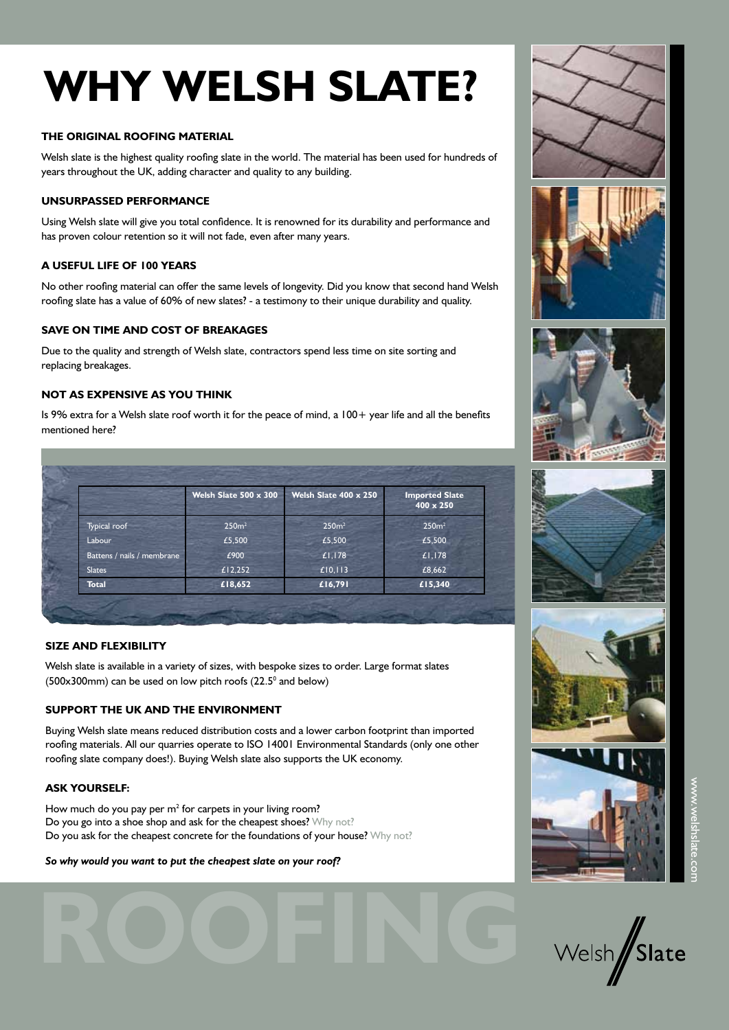# **WHY WELSH SLATE?**

#### **THE ORIGINAL ROOFING MATERIAL**

Welsh slate is the highest quality roofing slate in the world. The material has been used for hundreds of years throughout the UK, adding character and quality to any building.

#### **UNSURPASSED PERFORMANCE**

Using Welsh slate will give you total confidence. It is renowned for its durability and performance and has proven colour retention so it will not fade, even after many years.

#### **A USEFUL LIFE OF 100 YEARS**

No other roofing material can offer the same levels of longevity. Did you know that second hand Welsh roofing slate has a value of 60% of new slates? - a testimony to their unique durability and quality.

#### **SAVE ON TIME AND COST OF BREAKAGES**

Due to the quality and strength of Welsh slate, contractors spend less time on site sorting and replacing breakages.

## **NOT AS EXPENSIVE AS YOU THINK**

Is 9% extra for a Welsh slate roof worth it for the peace of mind, a 100+ year life and all the benefits mentioned here?

|                            | Welsh Slate 500 x 300 | Welsh Slate 400 x 250 | <b>Imported Slate</b><br>400 x 250 |
|----------------------------|-----------------------|-----------------------|------------------------------------|
| Typical roof               | 250 <sup>m²</sup>     | 250 <sup>m²</sup>     | 250 <sup>m²</sup>                  |
| Labour                     | £5,500                | £5,500                | £5,500                             |
| Battens / nails / membrane | £900                  | £1,178                | £1,178                             |
| <b>Slates</b>              | £12,252               | £10,113               | £8,662                             |
| <b>Total</b>               | £18,652               | £16,791               | £15,340                            |

#### **SIZE AND FLEXIBILITY**

Welsh slate is available in a variety of sizes, with bespoke sizes to order. Large format slates  $(500x300$ mm) can be used on low pitch roofs  $(22.5^{\circ}$  and below)

## **SUPPORT THE UK AND THE ENVIRONMENT**

Buying Welsh slate means reduced distribution costs and a lower carbon footprint than imported roofing materials. All our quarries operate to ISO 14001 Environmental Standards (only one other roofing slate company does!). Buying Welsh slate also supports the UK economy.

**ROOFING**

#### **ASK YOURSELF:**

How much do you pay per  $m^2$  for carpets in your living room? Do you go into a shoe shop and ask for the cheapest shoes? Why not? Do you ask for the cheapest concrete for the foundations of your house? Why not?

#### *So why would you want to put the cheapest slate on your roof?*